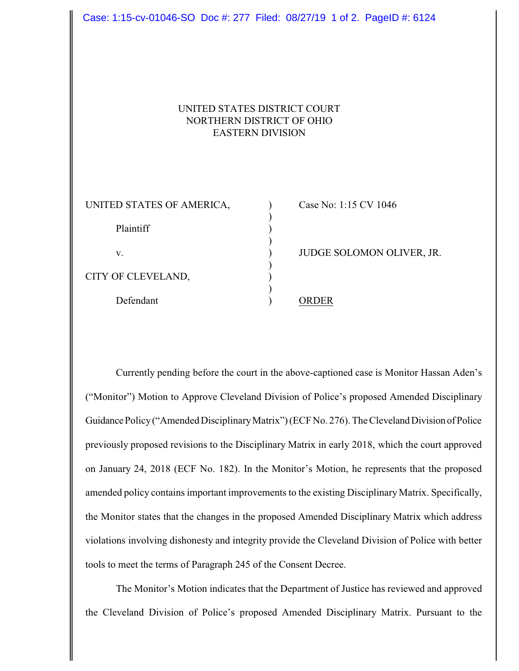| NORTHERN DISTRICT OF OHIO<br><b>EASTERN DIVISION</b> | UNITED STATES DISTRICT COURT |
|------------------------------------------------------|------------------------------|
| UNITED STATES OF AMERICA,                            | Case No: 1:15 CV 1046        |
| Plaintiff                                            |                              |
| V.                                                   | JUDGE SOLOMON OLIVER, JR.    |
| CITY OF CLEVELAND,                                   |                              |
| Defendant                                            | <b>ORDER</b>                 |

Case: 1:15-cv-01046-SO Doc #: 277 Filed: 08/27/19 1 of 2. PageID #: 6124

Currently pending before the court in the above-captioned case is Monitor Hassan Aden's ("Monitor") Motion to Approve Cleveland Division of Police's proposed Amended Disciplinary Guidance Policy ("Amended Disciplinary Matrix") (ECFNo. 276). The Cleveland Division of Police previously proposed revisions to the Disciplinary Matrix in early 2018, which the court approved on January 24, 2018 (ECF No. 182). In the Monitor's Motion, he represents that the proposed amended policy contains important improvements to the existing Disciplinary Matrix. Specifically, the Monitor states that the changes in the proposed Amended Disciplinary Matrix which address violations involving dishonesty and integrity provide the Cleveland Division of Police with better tools to meet the terms of Paragraph 245 of the Consent Decree.

The Monitor's Motion indicates that the Department of Justice has reviewed and approved the Cleveland Division of Police's proposed Amended Disciplinary Matrix. Pursuant to the